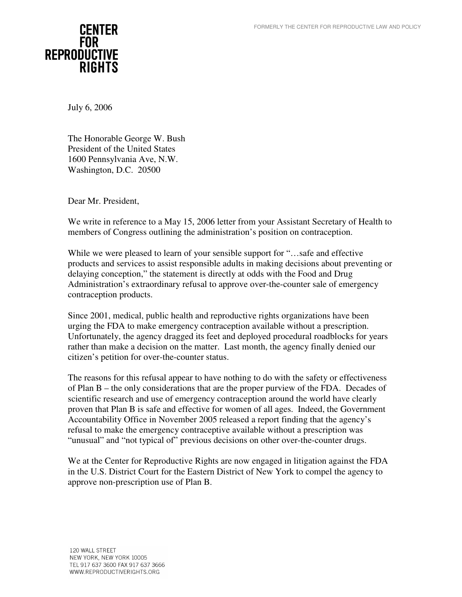

July 6, 2006

The Honorable George W. Bush President of the United States 1600 Pennsylvania Ave, N.W. Washington, D.C. 20500

Dear Mr. President,

We write in reference to a May 15, 2006 letter from your Assistant Secretary of Health to members of Congress outlining the administration's position on contraception.

While we were pleased to learn of your sensible support for "…safe and effective products and services to assist responsible adults in making decisions about preventing or delaying conception," the statement is directly at odds with the Food and Drug Administration's extraordinary refusal to approve over-the-counter sale of emergency contraception products.

Since 2001, medical, public health and reproductive rights organizations have been urging the FDA to make emergency contraception available without a prescription. Unfortunately, the agency dragged its feet and deployed procedural roadblocks for years rather than make a decision on the matter. Last month, the agency finally denied our citizen's petition for over-the-counter status.

The reasons for this refusal appear to have nothing to do with the safety or effectiveness of Plan B – the only considerations that are the proper purview of the FDA. Decades of scientific research and use of emergency contraception around the world have clearly proven that Plan B is safe and effective for women of all ages. Indeed, the Government Accountability Office in November 2005 released a report finding that the agency's refusal to make the emergency contraceptive available without a prescription was "unusual" and "not typical of" previous decisions on other over-the-counter drugs.

We at the Center for Reproductive Rights are now engaged in litigation against the FDA in the U.S. District Court for the Eastern District of New York to compel the agency to approve non-prescription use of Plan B.